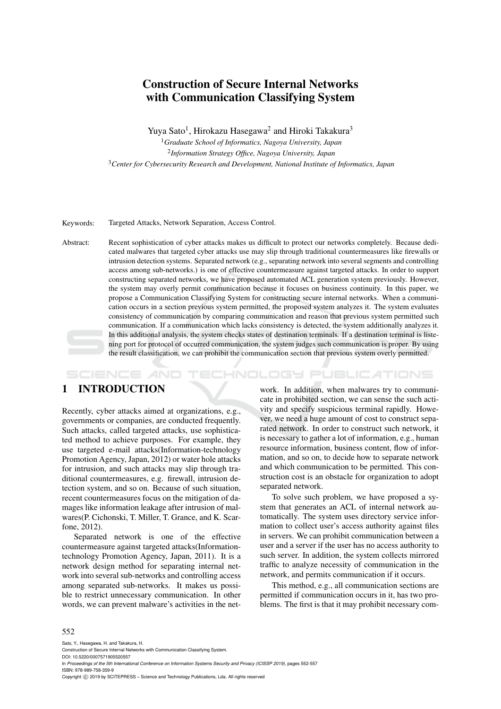# Construction of Secure Internal Networks with Communication Classifying System

Yuya Sato<sup>1</sup>, Hirokazu Hasegawa<sup>2</sup> and Hiroki Takakura<sup>3</sup>

<sup>1</sup>*Graduate School of Informatics, Nagoya University, Japan* 2 *Information Strategy Office, Nagoya University, Japan* <sup>3</sup>*Center for Cybersecurity Research and Development, National Institute of Informatics, Japan*

Keywords: Targeted Attacks, Network Separation, Access Control.

Abstract: Recent sophistication of cyber attacks makes us difficult to protect our networks completely. Because dedicated malwares that targeted cyber attacks use may slip through traditional countermeasures like firewalls or intrusion detection systems. Separated network (e.g., separating network into several segments and controlling access among sub-networks.) is one of effective countermeasure against targeted attacks. In order to support constructing separated networks, we have proposed automated ACL generation system previously. However, the system may overly permit communication because it focuses on business continuity. In this paper, we propose a Communication Classifying System for constructing secure internal networks. When a communication occurs in a section previous system permitted, the proposed system analyzes it. The system evaluates consistency of communication by comparing communication and reason that previous system permitted such communication. If a communication which lacks consistency is detected, the system additionally analyzes it. In this additional analysis, the system checks states of destination terminals. If a destination terminal is listening port for protocol of occurred communication, the system judges such communication is proper. By using the result classification, we can prohibit the communication section that previous system overly permitted.

HNOLOGY PUBLICATIONS SCIENCE *A*ND

# 1 INTRODUCTION

Recently, cyber attacks aimed at organizations, e.g., governments or companies, are conducted frequently. Such attacks, called targeted attacks, use sophisticated method to achieve purposes. For example, they use targeted e-mail attacks(Information-technology Promotion Agency, Japan, 2012) or water hole attacks for intrusion, and such attacks may slip through traditional countermeasures, e.g. firewall, intrusion detection system, and so on. Because of such situation, recent countermeasures focus on the mitigation of damages like information leakage after intrusion of malwares(P. Cichonski, T. Miller, T. Grance, and K. Scarfone, 2012).

Separated network is one of the effective countermeasure against targeted attacks(Informationtechnology Promotion Agency, Japan, 2011). It is a network design method for separating internal network into several sub-networks and controlling access among separated sub-networks. It makes us possible to restrict unnecessary communication. In other words, we can prevent malware's activities in the net-

work. In addition, when malwares try to communicate in prohibited section, we can sense the such activity and specify suspicious terminal rapidly. However, we need a huge amount of cost to construct separated network. In order to construct such network, it is necessary to gather a lot of information, e.g., human resource information, business content, flow of information, and so on, to decide how to separate network and which communication to be permitted. This construction cost is an obstacle for organization to adopt separated network.

To solve such problem, we have proposed a system that generates an ACL of internal network automatically. The system uses directory service information to collect user's access authority against files in servers. We can prohibit communication between a user and a server if the user has no access authority to such server. In addition, the system collects mirrored traffic to analyze necessity of communication in the network, and permits communication if it occurs.

This method, e.g., all communication sections are permitted if communication occurs in it, has two problems. The first is that it may prohibit necessary com-

#### 552

Sato, Y., Hasegawa, H. and Takakura, H. Construction of Secure Internal Networks with Communication Classifying System.

DOI: 10.5220/0007571905520557

In *Proceedings of the 5th International Conference on Information Systems Security and Privacy (ICISSP 2019)*, pages 552-557 ISBN: 978-989-758-359-9

Copyright © 2019 by SCITEPRESS - Science and Technology Publications, Lda. All rights reserved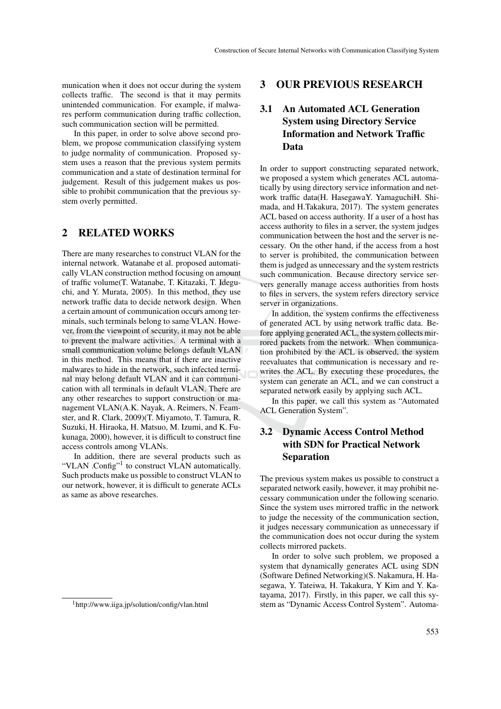munication when it does not occur during the system collects traffic. The second is that it may permits unintended communication. For example, if malwares perform communication during traffic collection, such communication section will be permitted.

In this paper, in order to solve above second problem, we propose communication classifying system to judge normality of communication. Proposed system uses a reason that the previous system permits communication and a state of destination terminal for judgement. Result of this judgement makes us possible to prohibit communication that the previous system overly permitted.

# 2 RELATED WORKS

There are many researches to construct VLAN for the internal network. Watanabe et al. proposed automatically VLAN construction method focusing on amount of traffic volume(T. Watanabe, T. Kitazaki, T. Ideguchi, and Y. Murata, 2005). In this method, they use network traffic data to decide network design. When a certain amount of communication occurs among terminals, such terminals belong to same VLAN. However, from the viewpoint of security, it may not be able to prevent the malware activities. A terminal with a small communication volume belongs default VLAN in this method. This means that if there are inactive malwares to hide in the network, such infected terminal may belong default VLAN and it can communication with all terminals in default VLAN. There are any other researches to support construction or management VLAN(A.K. Nayak, A. Reimers, N. Feamster, and R. Clark, 2009)(T. Miyamoto, T. Tamura, R. Suzuki, H. Hiraoka, H. Matsuo, M. Izumi, and K. Fukunaga, 2000), however, it is difficult to construct fine access controls among VLANs.

In addition, there are several products such as "VLAN .Config"<sup>1</sup> to construct VLAN automatically. Such products make us possible to construct VLAN to our network, however, it is difficult to generate ACLs as same as above researches.

# 3 OUR PREVIOUS RESEARCH

# 3.1 An Automated ACL Generation System using Directory Service Information and Network Traffic Data

In order to support constructing separated network, we proposed a system which generates ACL automatically by using directory service information and network traffic data(H. HasegawaY. YamaguchiH. Shimada, and H.Takakura, 2017). The system generates ACL based on access authority. If a user of a host has access authority to files in a server, the system judges communication between the host and the server is necessary. On the other hand, if the access from a host to server is prohibited, the communication between them is judged as unnecessary and the system restricts such communication. Because directory service servers generally manage access authorities from hosts to files in servers, the system refers directory service server in organizations.

In addition, the system confirms the effectiveness of generated ACL by using network traffic data. Before applying generated ACL, the system collects mirrored packets from the network. When communication prohibited by the ACL is observed, the system reevaluates that communication is necessary and rewrites the ACL. By executing these procedures, the system can generate an ACL, and we can construct a separated network easily by applying such ACL.

In this paper, we call this system as "Automated ACL Generation System".

# 3.2 Dynamic Access Control Method with SDN for Practical Network Separation

The previous system makes us possible to construct a separated network easily, however, it may prohibit necessary communication under the following scenario. Since the system uses mirrored traffic in the network to judge the necessity of the communication section, it judges necessary communication as unnecessary if the communication does not occur during the system collects mirrored packets.

In order to solve such problem, we proposed a system that dynamically generates ACL using SDN (Software Defined Networking)(S. Nakamura, H. Hasegawa, Y. Tateiwa, H. Takakura, Y Kim and Y. Katayama, 2017). Firstly, in this paper, we call this system as "Dynamic Access Control System". Automa-

<sup>1</sup>http://www.iiga.jp/solution/config/vlan.html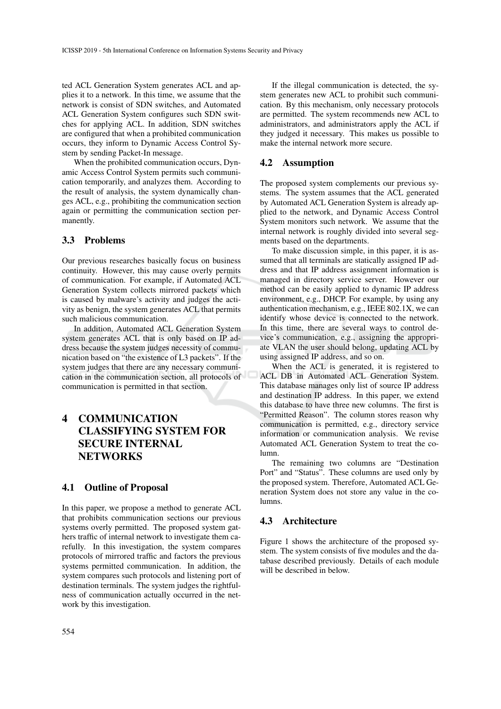ted ACL Generation System generates ACL and applies it to a network. In this time, we assume that the network is consist of SDN switches, and Automated ACL Generation System configures such SDN switches for applying ACL. In addition, SDN switches are configured that when a prohibited communication occurs, they inform to Dynamic Access Control System by sending Packet-In message.

When the prohibited communication occurs, Dynamic Access Control System permits such communication temporarily, and analyzes them. According to the result of analysis, the system dynamically changes ACL, e.g., prohibiting the communication section again or permitting the communication section permanently.

## 3.3 Problems

Our previous researches basically focus on business continuity. However, this may cause overly permits of communication. For example, if Automated ACL Generation System collects mirrored packets which is caused by malware's activity and judges the activity as benign, the system generates ACL that permits such malicious communication.

In addition, Automated ACL Generation System system generates ACL that is only based on IP address because the system judges necessity of communication based on "the existence of L3 packets". If the system judges that there are any necessary communication in the communication section, all protocols of communication is permitted in that section.

# 4 COMMUNICATION CLASSIFYING SYSTEM FOR SECURE INTERNAL **NETWORKS**

### 4.1 Outline of Proposal

In this paper, we propose a method to generate ACL that prohibits communication sections our previous systems overly permitted. The proposed system gathers traffic of internal network to investigate them carefully. In this investigation, the system compares protocols of mirrored traffic and factors the previous systems permitted communication. In addition, the system compares such protocols and listening port of destination terminals. The system judges the rightfulness of communication actually occurred in the network by this investigation.

If the illegal communication is detected, the system generates new ACL to prohibit such communication. By this mechanism, only necessary protocols are permitted. The system recommends new ACL to administrators, and administrators apply the ACL if they judged it necessary. This makes us possible to make the internal network more secure.

## 4.2 Assumption

The proposed system complements our previous systems. The system assumes that the ACL generated by Automated ACL Generation System is already applied to the network, and Dynamic Access Control System monitors such network. We assume that the internal network is roughly divided into several segments based on the departments.

To make discussion simple, in this paper, it is assumed that all terminals are statically assigned IP address and that IP address assignment information is managed in directory service server. However our method can be easily applied to dynamic IP address environment, e.g., DHCP. For example, by using any authentication mechanism, e.g., IEEE 802.1X, we can identify whose device is connected to the network. In this time, there are several ways to control device's communication, e.g., assigning the appropriate VLAN the user should belong, updating ACL by using assigned IP address, and so on.

When the ACL is generated, it is registered to ACL DB in Automated ACL Generation System. This database manages only list of source IP address and destination IP address. In this paper, we extend this database to have three new columns. The first is "Permitted Reason". The column stores reason why communication is permitted, e.g., directory service information or communication analysis. We revise Automated ACL Generation System to treat the column.

The remaining two columns are "Destination Port" and "Status". These columns are used only by the proposed system. Therefore, Automated ACL Generation System does not store any value in the columns.

## 4.3 Architecture

Figure 1 shows the architecture of the proposed system. The system consists of five modules and the database described previously. Details of each module will be described in below.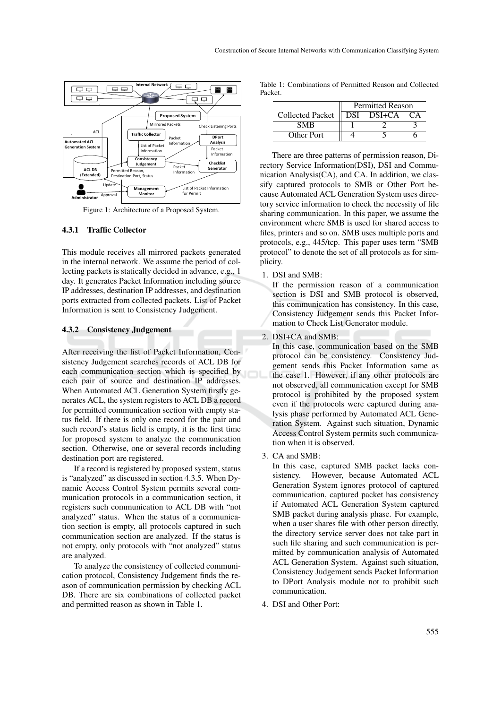

Figure 1: Architecture of a Proposed System.

### 4.3.1 Traffic Collector

This module receives all mirrored packets generated in the internal network. We assume the period of collecting packets is statically decided in advance, e.g., 1 day. It generates Packet Information including source IP addresses, destination IP addresses, and destination ports extracted from collected packets. List of Packet Information is sent to Consistency Judgement.

#### 4.3.2 Consistency Judgement

After receiving the list of Packet Information, Consistency Judgement searches records of ACL DB for each communication section which is specified by each pair of source and destination IP addresses. When Automated ACL Generation System firstly generates ACL, the system registers to ACL DB a record for permitted communication section with empty status field. If there is only one record for the pair and such record's status field is empty, it is the first time for proposed system to analyze the communication section. Otherwise, one or several records including destination port are registered.

If a record is registered by proposed system, status is "analyzed" as discussed in section 4.3.5. When Dynamic Access Control System permits several communication protocols in a communication section, it registers such communication to ACL DB with "not analyzed" status. When the status of a communication section is empty, all protocols captured in such communication section are analyzed. If the status is not empty, only protocols with "not analyzed" status are analyzed.

To analyze the consistency of collected communication protocol, Consistency Judgement finds the reason of communication permission by checking ACL DB. There are six combinations of collected packet and permitted reason as shown in Table 1.

|         | Table 1: Combinations of Permitted Reason and Collected |  |  |
|---------|---------------------------------------------------------|--|--|
| Packet. |                                                         |  |  |

|                         | <b>Permitted Reason</b> |            |    |  |
|-------------------------|-------------------------|------------|----|--|
| <b>Collected Packet</b> |                         | DSI DSI+CA | `А |  |
| SMR                     |                         |            |    |  |
| Other Port              |                         |            |    |  |

There are three patterns of permission reason, Directory Service Information(DSI), DSI and Communication Analysis(CA), and CA. In addition, we classify captured protocols to SMB or Other Port because Automated ACL Generation System uses directory service information to check the necessity of file sharing communication. In this paper, we assume the environment where SMB is used for shared access to files, printers and so on. SMB uses multiple ports and protocols, e.g., 445/tcp. This paper uses term "SMB protocol" to denote the set of all protocols as for simplicity.

#### 1. DSI and SMB:

If the permission reason of a communication section is DSI and SMB protocol is observed, this communication has consistency. In this case, Consistency Judgement sends this Packet Information to Check List Generator module.

2. DSI+CA and SMB:

In this case, communication based on the SMB protocol can be consistency. Consistency Judgement sends this Packet Information same as the case 1. However, if any other protocols are not observed, all communication except for SMB protocol is prohibited by the proposed system even if the protocols were captured during analysis phase performed by Automated ACL Generation System. Against such situation, Dynamic Access Control System permits such communication when it is observed.

3. CA and SMB:

In this case, captured SMB packet lacks consistency. However, because Automated ACL Generation System ignores protocol of captured communication, captured packet has consistency if Automated ACL Generation System captured SMB packet during analysis phase. For example, when a user shares file with other person directly, the directory service server does not take part in such file sharing and such communication is permitted by communication analysis of Automated ACL Generation System. Against such situation, Consistency Judgement sends Packet Information to DPort Analysis module not to prohibit such communication.

4. DSI and Other Port: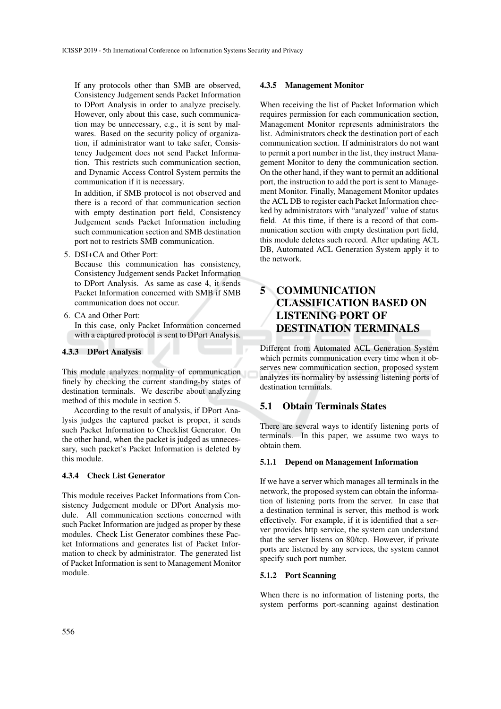If any protocols other than SMB are observed, Consistency Judgement sends Packet Information to DPort Analysis in order to analyze precisely. However, only about this case, such communication may be unnecessary, e.g., it is sent by malwares. Based on the security policy of organization, if administrator want to take safer, Consistency Judgement does not send Packet Information. This restricts such communication section, and Dynamic Access Control System permits the communication if it is necessary.

In addition, if SMB protocol is not observed and there is a record of that communication section with empty destination port field, Consistency Judgement sends Packet Information including such communication section and SMB destination port not to restricts SMB communication.

5. DSI+CA and Other Port:

Because this communication has consistency, Consistency Judgement sends Packet Information to DPort Analysis. As same as case 4, it sends Packet Information concerned with SMB if SMB communication does not occur.

6. CA and Other Port:

In this case, only Packet Information concerned with a captured protocol is sent to DPort Analysis.

## 4.3.3 DPort Analysis

This module analyzes normality of communication finely by checking the current standing-by states of destination terminals. We describe about analyzing method of this module in section 5.

According to the result of analysis, if DPort Analysis judges the captured packet is proper, it sends such Packet Information to Checklist Generator. On the other hand, when the packet is judged as unnecessary, such packet's Packet Information is deleted by this module.

## 4.3.4 Check List Generator

This module receives Packet Informations from Consistency Judgement module or DPort Analysis module. All communication sections concerned with such Packet Information are judged as proper by these modules. Check List Generator combines these Packet Informations and generates list of Packet Information to check by administrator. The generated list of Packet Information is sent to Management Monitor module.

### 4.3.5 Management Monitor

When receiving the list of Packet Information which requires permission for each communication section, Management Monitor represents administrators the list. Administrators check the destination port of each communication section. If administrators do not want to permit a port number in the list, they instruct Management Monitor to deny the communication section. On the other hand, if they want to permit an additional port, the instruction to add the port is sent to Management Monitor. Finally, Management Monitor updates the ACL DB to register each Packet Information checked by administrators with "analyzed" value of status field. At this time, if there is a record of that communication section with empty destination port field, this module deletes such record. After updating ACL DB, Automated ACL Generation System apply it to the network.

# 5 COMMUNICATION CLASSIFICATION BASED ON LISTENING PORT OF DESTINATION TERMINALS

Different from Automated ACL Generation System which permits communication every time when it observes new communication section, proposed system analyzes its normality by assessing listening ports of destination terminals.

## 5.1 Obtain Terminals States

There are several ways to identify listening ports of terminals. In this paper, we assume two ways to obtain them.

## 5.1.1 Depend on Management Information

If we have a server which manages all terminals in the network, the proposed system can obtain the information of listening ports from the server. In case that a destination terminal is server, this method is work effectively. For example, if it is identified that a server provides http service, the system can understand that the server listens on 80/tcp. However, if private ports are listened by any services, the system cannot specify such port number.

### 5.1.2 Port Scanning

When there is no information of listening ports, the system performs port-scanning against destination